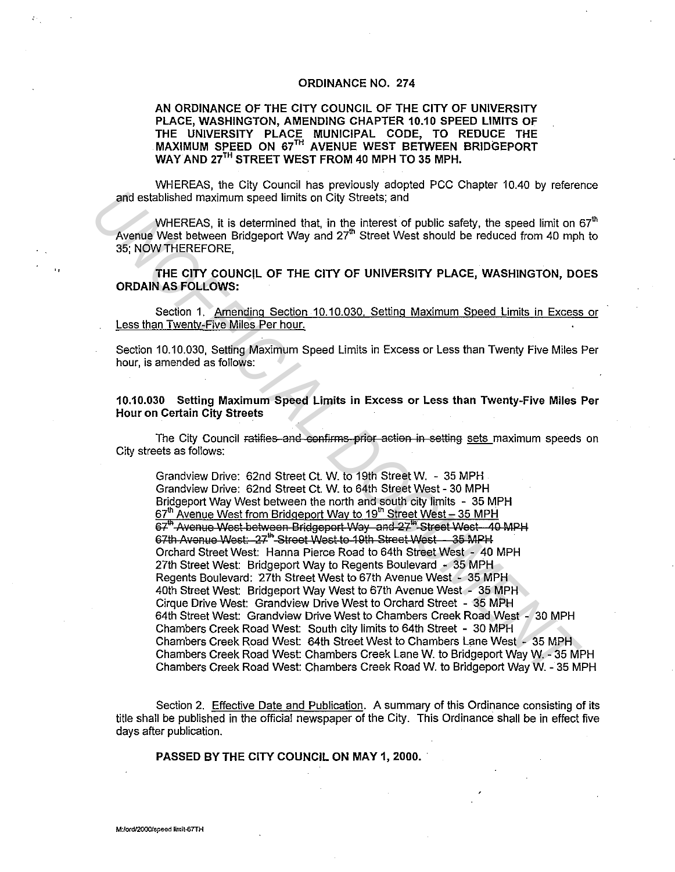## **ORDINANCE NO. 274**

## AN ORDINANCE OF THE CITY COUNCIL OF THE CITY OF UNIVERSITY PLACE, WASHINGTON, AMENDING CHAPTER 10.10 SPEED LIMITS OF THE UNIVERSITY PLACE MUNICIPAL CODE, TO REDUCE THE MAXIMUM SPEED ON 67TH AVENUE WEST BETWEEN BRIDGEPORT WAY AND 27TH STREET WEST FROM 40 MPH TO 35 MPH.

WHEREAS, the City Council has previously adopted PCC Chapter 10.40 by reference and established maximum speed limits on City Streets; and

WHEREAS, it is determined that, in the interest of public safety, the speed limit on  $67<sup>th</sup>$ Avenue West between Bridgeport Way and 27<sup>th</sup> Street West should be reduced from 40 mph to 35: NOW THEREFORE.

THE CITY COUNCIL OF THE CITY OF UNIVERSITY PLACE, WASHINGTON, DOES **ORDAIN AS FOLLOWS:** 

Section 1. Amending Section 10.10.030. Setting Maximum Speed Limits in Excess or Less than Twenty-Five Miles Per hour.

Section 10.10.030, Setting Maximum Speed Limits in Excess or Less than Twenty Five Miles Per hour, is amended as follows:

10.10.030 Setting Maximum Speed Limits in Excess or Less than Twenty-Five Miles Per **Hour on Certain City Streets** 

The City Council ratifies and confirms prior action in setting sets maximum speeds on City streets as follows:

Grandview Drive: 62nd Street Ct. W. to 19th Street W. - 35 MPH Grandview Drive: 62nd Street Ct. W. to 64th Street West - 30 MPH Bridgeport Way West between the north and south city limits - 35 MPH 67th Avenue West from Bridgeport Way to 19th Street West - 35 MPH 67<sup>th</sup> Avenue West between Bridgeport Way and 27<sup>th</sup> Street West 40 MPH 67th Avenue West: 27<sup>th</sup> Street West to 19th Street West - 35 MPH Orchard Street West: Hanna Pierce Road to 64th Street West - 40 MPH 27th Street West: Bridgeport Way to Regents Boulevard - 35 MPH Regents Boulevard: 27th Street West to 67th Avenue West - 35 MPH 40th Street West: Bridgeport Way West to 67th Avenue West - 35 MPH Cirque Drive West: Grandview Drive West to Orchard Street - 35 MPH 64th Street West: Grandview Drive West to Chambers Creek Road West - 30 MPH Chambers Creek Road West: South city limits to 64th Street - 30 MPH Chambers Creek Road West: 64th Street West to Chambers Lane West - 35 MPH Chambers Creek Road West: Chambers Creek Lane W. to Bridgeport Way W. - 35 MPH Chambers Creek Road West: Chambers Creek Road W. to Bridgeport Way W. - 35 MPH

Section 2. Effective Date and Publication. A summary of this Ordinance consisting of its title shall be published in the official newspaper of the City. This Ordinance shall be in effect five days after publication.

PASSED BY THE CITY COUNCIL ON MAY 1, 2000.